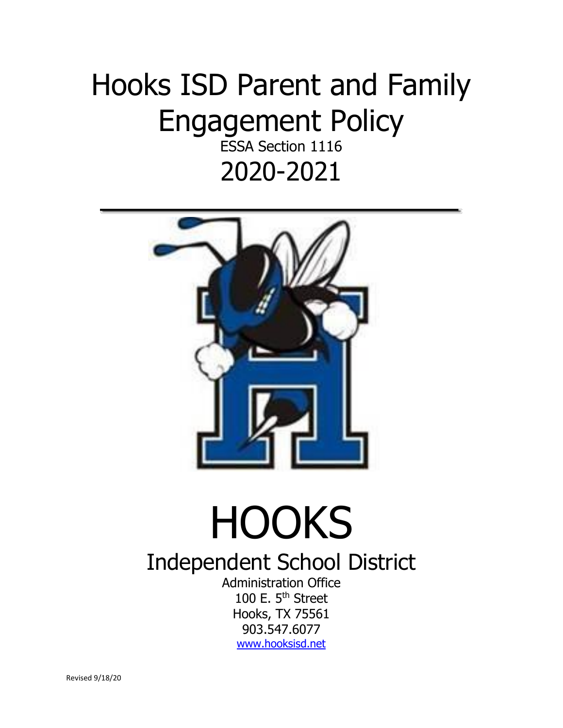## Hooks ISD Parent and Family Engagement Policy

ESSA Section 1116 2020-2021



## **HOOKS**

## Independent School District

Administration Office 100 E. 5<sup>th</sup> Street Hooks, TX 75561 903.547.6077 [www.hooksisd.net](http://www.hooksisd.net/)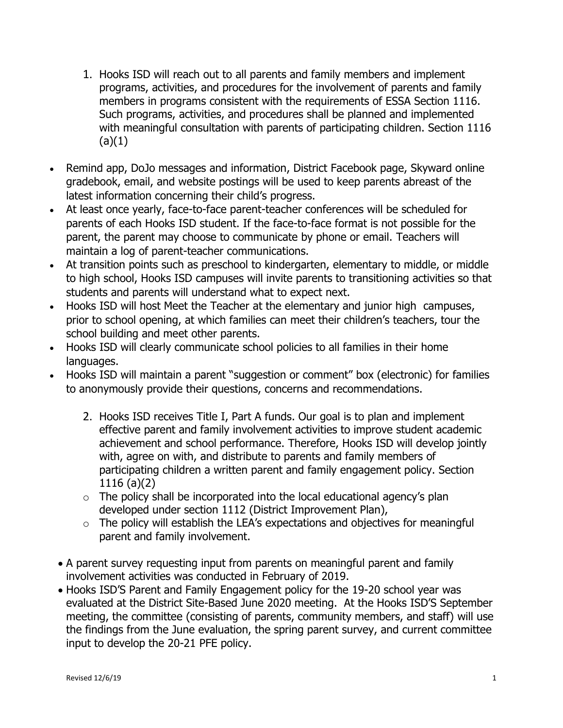- 1. Hooks ISD will reach out to all parents and family members and implement programs, activities, and procedures for the involvement of parents and family members in programs consistent with the requirements of ESSA Section 1116. Such programs, activities, and procedures shall be planned and implemented with meaningful consultation with parents of participating children. Section 1116  $(a)(1)$
- Remind app, DoJo messages and information, District Facebook page, Skyward online gradebook, email, and website postings will be used to keep parents abreast of the latest information concerning their child's progress.
- At least once yearly, face-to-face parent-teacher conferences will be scheduled for parents of each Hooks ISD student. If the face-to-face format is not possible for the parent, the parent may choose to communicate by phone or email. Teachers will maintain a log of parent-teacher communications.
- At transition points such as preschool to kindergarten, elementary to middle, or middle to high school, Hooks ISD campuses will invite parents to transitioning activities so that students and parents will understand what to expect next.
- Hooks ISD will host Meet the Teacher at the elementary and junior high campuses, prior to school opening, at which families can meet their children's teachers, tour the school building and meet other parents.
- Hooks ISD will clearly communicate school policies to all families in their home languages.
- Hooks ISD will maintain a parent "suggestion or comment" box (electronic) for families to anonymously provide their questions, concerns and recommendations.
	- 2. Hooks ISD receives Title I, Part A funds. Our goal is to plan and implement effective parent and family involvement activities to improve student academic achievement and school performance. Therefore, Hooks ISD will develop jointly with, agree on with, and distribute to parents and family members of participating children a written parent and family engagement policy. Section 1116 (a)(2)
	- $\circ$  The policy shall be incorporated into the local educational agency's plan developed under section 1112 (District Improvement Plan),
	- $\circ$  The policy will establish the LEA's expectations and objectives for meaningful parent and family involvement.
	- A parent survey requesting input from parents on meaningful parent and family involvement activities was conducted in February of 2019.
	- Hooks ISD'S Parent and Family Engagement policy for the 19-20 school year was evaluated at the District Site-Based June 2020 meeting. At the Hooks ISD'S September meeting, the committee (consisting of parents, community members, and staff) will use the findings from the June evaluation, the spring parent survey, and current committee input to develop the 20-21 PFE policy.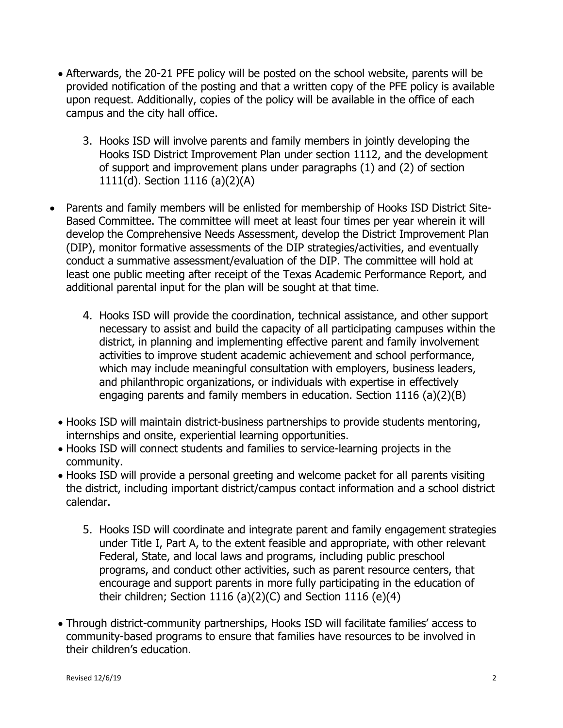- Afterwards, the 20-21 PFE policy will be posted on the school website, parents will be provided notification of the posting and that a written copy of the PFE policy is available upon request. Additionally, copies of the policy will be available in the office of each campus and the city hall office.
	- 3. Hooks ISD will involve parents and family members in jointly developing the Hooks ISD District Improvement Plan under section 1112, and the development of support and improvement plans under paragraphs (1) and (2) of section 1111(d). Section 1116 (a)(2)(A)
- Parents and family members will be enlisted for membership of Hooks ISD District Site-Based Committee. The committee will meet at least four times per year wherein it will develop the Comprehensive Needs Assessment, develop the District Improvement Plan (DIP), monitor formative assessments of the DIP strategies/activities, and eventually conduct a summative assessment/evaluation of the DIP. The committee will hold at least one public meeting after receipt of the Texas Academic Performance Report, and additional parental input for the plan will be sought at that time.
	- 4. Hooks ISD will provide the coordination, technical assistance, and other support necessary to assist and build the capacity of all participating campuses within the district, in planning and implementing effective parent and family involvement activities to improve student academic achievement and school performance, which may include meaningful consultation with employers, business leaders, and philanthropic organizations, or individuals with expertise in effectively engaging parents and family members in education. Section 1116 (a)(2)(B)
	- Hooks ISD will maintain district-business partnerships to provide students mentoring, internships and onsite, experiential learning opportunities.
	- Hooks ISD will connect students and families to service-learning projects in the community.
	- Hooks ISD will provide a personal greeting and welcome packet for all parents visiting the district, including important district/campus contact information and a school district calendar.
		- 5. Hooks ISD will coordinate and integrate parent and family engagement strategies under Title I, Part A, to the extent feasible and appropriate, with other relevant Federal, State, and local laws and programs, including public preschool programs, and conduct other activities, such as parent resource centers, that encourage and support parents in more fully participating in the education of their children; Section 1116 (a)(2)(C) and Section 1116 (e)(4)
	- Through district-community partnerships, Hooks ISD will facilitate families' access to community-based programs to ensure that families have resources to be involved in their children's education.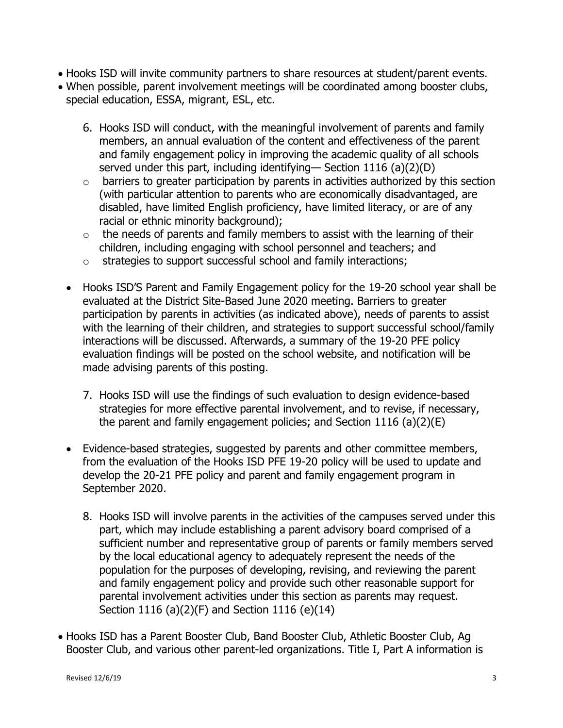- Hooks ISD will invite community partners to share resources at student/parent events.
- When possible, parent involvement meetings will be coordinated among booster clubs, special education, ESSA, migrant, ESL, etc.
	- 6. Hooks ISD will conduct, with the meaningful involvement of parents and family members, an annual evaluation of the content and effectiveness of the parent and family engagement policy in improving the academic quality of all schools served under this part, including identifying— Section 1116 (a)(2)(D)
	- o barriers to greater participation by parents in activities authorized by this section (with particular attention to parents who are economically disadvantaged, are disabled, have limited English proficiency, have limited literacy, or are of any racial or ethnic minority background);
	- $\circ$  the needs of parents and family members to assist with the learning of their children, including engaging with school personnel and teachers; and
	- o strategies to support successful school and family interactions;
	- Hooks ISD'S Parent and Family Engagement policy for the 19-20 school year shall be evaluated at the District Site-Based June 2020 meeting. Barriers to greater participation by parents in activities (as indicated above), needs of parents to assist with the learning of their children, and strategies to support successful school/family interactions will be discussed. Afterwards, a summary of the 19-20 PFE policy evaluation findings will be posted on the school website, and notification will be made advising parents of this posting.
		- 7. Hooks ISD will use the findings of such evaluation to design evidence-based strategies for more effective parental involvement, and to revise, if necessary, the parent and family engagement policies; and Section 1116 (a)(2)(E)
	- Evidence-based strategies, suggested by parents and other committee members, from the evaluation of the Hooks ISD PFE 19-20 policy will be used to update and develop the 20-21 PFE policy and parent and family engagement program in September 2020.
		- 8. Hooks ISD will involve parents in the activities of the campuses served under this part, which may include establishing a parent advisory board comprised of a sufficient number and representative group of parents or family members served by the local educational agency to adequately represent the needs of the population for the purposes of developing, revising, and reviewing the parent and family engagement policy and provide such other reasonable support for parental involvement activities under this section as parents may request. Section 1116 (a)(2)(F) and Section 1116 (e)(14)
- Hooks ISD has a Parent Booster Club, Band Booster Club, Athletic Booster Club, Ag Booster Club, and various other parent-led organizations. Title I, Part A information is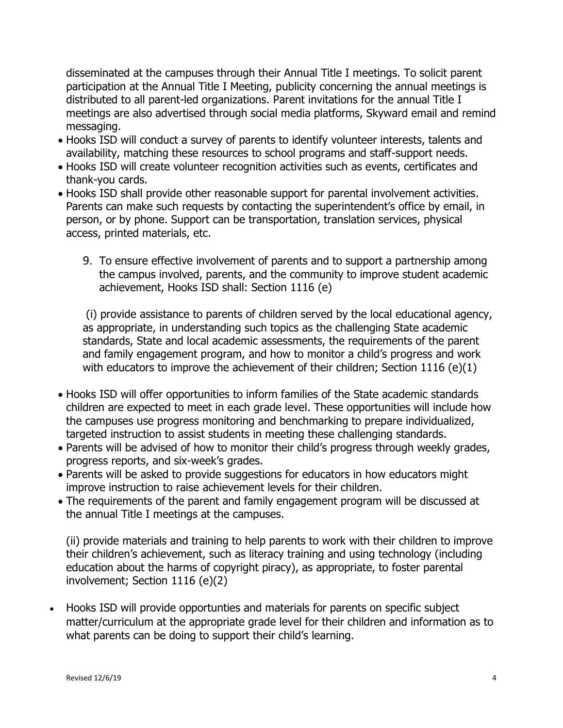disseminated at the campuses through their Annual Title I meetings. To solicit parent participation at the Annual Title I Meeting, publicity concerning the annual meetings is distributed to all parent-led organizations. Parent invitations for the annual Title I meetings are also advertised through social media platforms, Skyward email and remind messaging.

- Hooks ISD will conduct a survey of parents to identify volunteer interests, talents and availability, matching these resources to school programs and staff-support needs.
- Hooks ISD will create volunteer recognition activities such as events, certificates and thank-you cards.
- Hooks ISD shall provide other reasonable support for parental involvement activities. Parents can make such requests by contacting the superintendent's office by email, in person, or by phone. Support can be transportation, translation services, physical access, printed materials, etc.
	- 9. To ensure effective involvement of parents and to support a partnership among the campus involved, parents, and the community to improve student academic achievement, Hooks ISD shall: Section 1116 (e)

(i) provide assistance to parents of children served by the local educational agency, as appropriate, in understanding such topics as the challenging State academic standards, State and local academic assessments, the requirements of the parent and family engagement program, and how to monitor a child's progress and work with educators to improve the achievement of their children; Section 1116 (e) $(1)$ 

- Hooks ISD will offer opportunities to inform families of the State academic standards children are expected to meet in each grade level. These opportunities will include how the campuses use progress monitoring and benchmarking to prepare individualized, targeted instruction to assist students in meeting these challenging standards.
- Parents will be advised of how to monitor their child's progress through weekly grades, progress reports, and six-week's grades.
- Parents will be asked to provide suggestions for educators in how educators might improve instruction to raise achievement levels for their children.
- The requirements of the parent and family engagement program will be discussed at the annual Title I meetings at the campuses.

(ii) provide materials and training to help parents to work with their children to improve their children's achievement, such as literacy training and using technology (including education about the harms of copyright piracy), as appropriate, to foster parental involvement; Section 1116 (e)(2)

 Hooks ISD will provide opportunties and materials for parents on specific subject matter/curriculum at the appropriate grade level for their children and information as to what parents can be doing to support their child's learning.